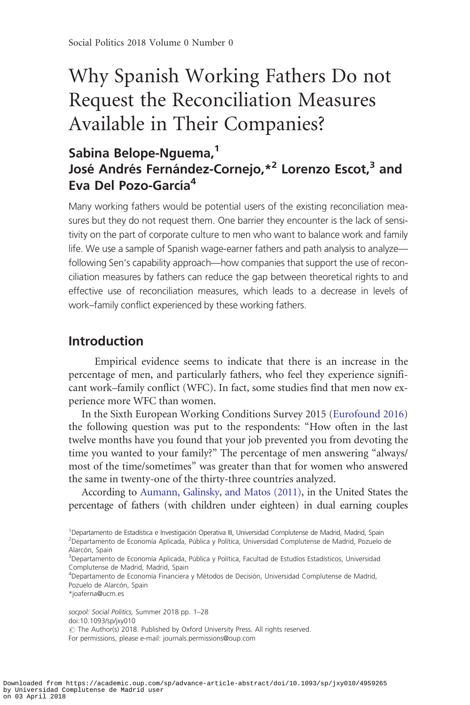# Why Spanish Working Fathers Do not Request the Reconciliation Measures Available in Their Companies?

# Sabina Belope-Nguema,<sup>1</sup> José Andrés Fernández-Cornejo, \*<sup>2</sup> Lorenzo Escot,<sup>3</sup> and Eva Del Pozo-García<sup>4</sup>

Many working fathers would be potential users of the existing reconciliation measures but they do not request them. One barrier they encounter is the lack of sensitivity on the part of corporate culture to men who want to balance work and family life. We use a sample of Spanish wage-earner fathers and path analysis to analyze following Sen's capability approach—how companies that support the use of reconciliation measures by fathers can reduce the gap between theoretical rights to and effective use of reconciliation measures, which leads to a decrease in levels of work–family conflict experienced by these working fathers.

## Introduction

Empirical evidence seems to indicate that there is an increase in the percentage of men, and particularly fathers, who feel they experience significant work–family conflict (WFC). In fact, some studies find that men now experience more WFC than women.

In the Sixth European Working Conditions Survey 2015 [\(Eurofound 2016](#page-25-0)) the following question was put to the respondents: "How often in the last twelve months have you found that your job prevented you from devoting the time you wanted to your family?" The percentage of men answering "always/ most of the time/sometimes" was greater than that for women who answered the same in twenty-one of the thirty-three countries analyzed.

According to [Aumann, Galinsky, and Matos \(2011\)](#page-24-0), in the United States the percentage of fathers (with children under eighteen) in dual earning couples

<sup>4</sup>Departamento de Economía Financiera y Métodos de Decisión, Universidad Complutense de Madrid, Pozuelo de Alarcón, Spain

socpol: Social Politics, Summer 2018 pp. 1-28 doi:10.1093/sp/jxy010  $\circled{c}$  The Author(s) 2018. Published by Oxford University Press. All rights reserved. For permissions, please e-mail: journals.permissions@oup.com

<sup>&</sup>lt;sup>1</sup> Departamento de Estadística e Investigación Operativa III, Universidad Complutense de Madrid, Madrid, Spain<br><sup>2</sup> Departamento de Economía Anlicada, Pública y Política, Universidad Complutense de Madrid, Pozuelo <sup>2</sup> Departamento de Economía Aplicada, Pública y Política, Universidad Complutense de Madrid, Pozuelo de Alarcón, Spain<br><sup>3</sup>Departamento de Economía Aplicada, Pública y Política, Facultad de Estudíos Estadísticos, Universidad

Complutense de Madrid, Madrid, Spain

<sup>\*</sup>joaferna@ucm.es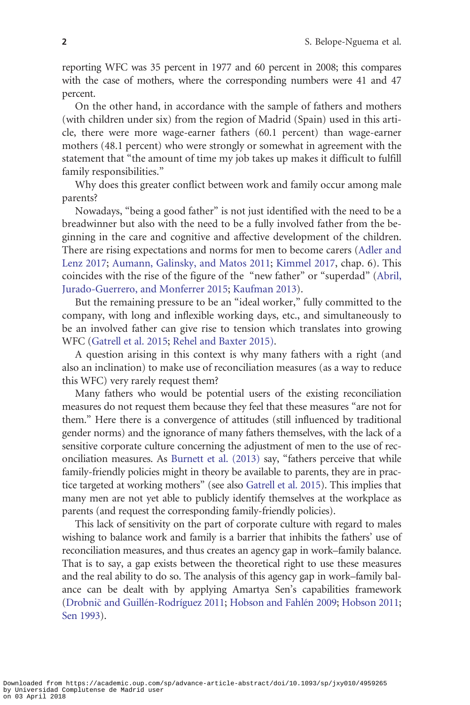reporting WFC was 35 percent in 1977 and 60 percent in 2008; this compares with the case of mothers, where the corresponding numbers were 41 and 47 percent.

On the other hand, in accordance with the sample of fathers and mothers (with children under six) from the region of Madrid (Spain) used in this article, there were more wage-earner fathers (60.1 percent) than wage-earner mothers (48.1 percent) who were strongly or somewhat in agreement with the statement that "the amount of time my job takes up makes it difficult to fulfill family responsibilities."

Why does this greater conflict between work and family occur among male parents?

Nowadays, "being a good father" is not just identified with the need to be a breadwinner but also with the need to be a fully involved father from the beginning in the care and cognitive and affective development of the children. There are rising expectations and norms for men to become carers [\(Adler and](#page-24-0) [Lenz 2017;](#page-24-0) [Aumann, Galinsky, and Matos 2011](#page-24-0); [Kimmel 2017,](#page-26-0) chap. 6). This coincides with the rise of the figure of the "new father" or "superdad" [\(Abril,](#page-24-0) [Jurado-Guerrero, and Monferrer 2015](#page-24-0); [Kaufman 2013\)](#page-26-0).

But the remaining pressure to be an "ideal worker," fully committed to the company, with long and inflexible working days, etc., and simultaneously to be an involved father can give rise to tension which translates into growing WFC [\(Gatrell et al. 2015;](#page-26-0) [Rehel and Baxter 2015\).](#page-27-0)

A question arising in this context is why many fathers with a right (and also an inclination) to make use of reconciliation measures (as a way to reduce this WFC) very rarely request them?

Many fathers who would be potential users of the existing reconciliation measures do not request them because they feel that these measures "are not for them." Here there is a convergence of attitudes (still influenced by traditional gender norms) and the ignorance of many fathers themselves, with the lack of a sensitive corporate culture concerning the adjustment of men to the use of reconciliation measures. As [Burnett et al. \(2013\)](#page-25-0) say, "fathers perceive that while family-friendly policies might in theory be available to parents, they are in practice targeted at working mothers" (see also [Gatrell et al. 2015\)](#page-26-0). This implies that many men are not yet able to publicly identify themselves at the workplace as parents (and request the corresponding family-friendly policies).

This lack of sensitivity on the part of corporate culture with regard to males wishing to balance work and family is a barrier that inhibits the fathers' use of reconciliation measures, and thus creates an agency gap in work–family balance. That is to say, a gap exists between the theoretical right to use these measures and the real ability to do so. The analysis of this agency gap in work–family balance can be dealt with by applying Amartya Sen's capabilities framework ([Drobni](#page-25-0)č and Guillén-Rodríguez 2011; Hobson and Fahlén 2009; [Hobson 2011;](#page-26-0) [Sen 1993](#page-27-0)).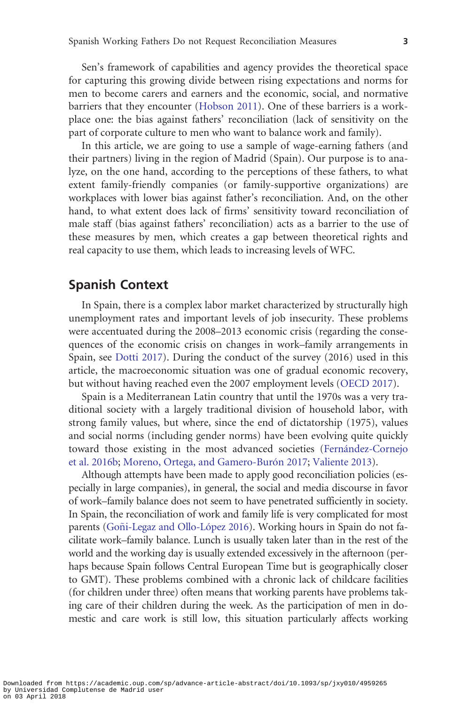Sen's framework of capabilities and agency provides the theoretical space for capturing this growing divide between rising expectations and norms for men to become carers and earners and the economic, social, and normative barriers that they encounter ([Hobson 2011\)](#page-26-0). One of these barriers is a workplace one: the bias against fathers' reconciliation (lack of sensitivity on the part of corporate culture to men who want to balance work and family).

In this article, we are going to use a sample of wage-earning fathers (and their partners) living in the region of Madrid (Spain). Our purpose is to analyze, on the one hand, according to the perceptions of these fathers, to what extent family-friendly companies (or family-supportive organizations) are workplaces with lower bias against father's reconciliation. And, on the other hand, to what extent does lack of firms' sensitivity toward reconciliation of male staff (bias against fathers' reconciliation) acts as a barrier to the use of these measures by men, which creates a gap between theoretical rights and real capacity to use them, which leads to increasing levels of WFC.

## Spanish Context

In Spain, there is a complex labor market characterized by structurally high unemployment rates and important levels of job insecurity. These problems were accentuated during the 2008–2013 economic crisis (regarding the consequences of the economic crisis on changes in work–family arrangements in Spain, see [Dotti 2017](#page-25-0)). During the conduct of the survey (2016) used in this article, the macroeconomic situation was one of gradual economic recovery, but without having reached even the 2007 employment levels ([OECD 2017\)](#page-27-0).

Spain is a Mediterranean Latin country that until the 1970s was a very traditional society with a largely traditional division of household labor, with strong family values, but where, since the end of dictatorship (1975), values and social norms (including gender norms) have been evolving quite quickly toward those existing in the most advanced societies (Fernández-Cornejo [et al. 2016b](#page-25-0); Moreno, Ortega, and Gamero-Burón 2017; [Valiente 2013\)](#page-27-0).

Although attempts have been made to apply good reconciliation policies (especially in large companies), in general, the social and media discourse in favor of work–family balance does not seem to have penetrated sufficiently in society. In Spain, the reconciliation of work and family life is very complicated for most parents (Goñi-Legaz and Ollo-López 2016). Working hours in Spain do not facilitate work–family balance. Lunch is usually taken later than in the rest of the world and the working day is usually extended excessively in the afternoon (perhaps because Spain follows Central European Time but is geographically closer to GMT). These problems combined with a chronic lack of childcare facilities (for children under three) often means that working parents have problems taking care of their children during the week. As the participation of men in domestic and care work is still low, this situation particularly affects working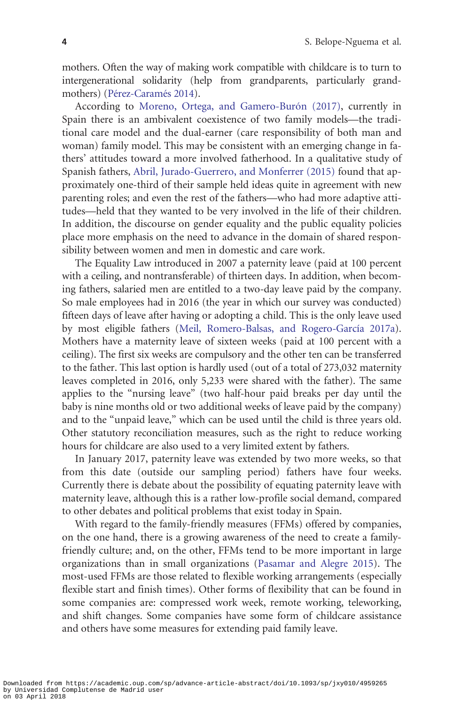mothers. Often the way of making work compatible with childcare is to turn to intergenerational solidarity (help from grandparents, particularly grandmothers) (Pérez-Caramés 2014).

According to Moreno, Ortega, and Gamero-Burón (2017), currently in Spain there is an ambivalent coexistence of two family models—the traditional care model and the dual-earner (care responsibility of both man and woman) family model. This may be consistent with an emerging change in fathers' attitudes toward a more involved fatherhood. In a qualitative study of Spanish fathers, [Abril, Jurado-Guerrero, and Monferrer \(2015\)](#page-24-0) found that approximately one-third of their sample held ideas quite in agreement with new parenting roles; and even the rest of the fathers—who had more adaptive attitudes—held that they wanted to be very involved in the life of their children. In addition, the discourse on gender equality and the public equality policies place more emphasis on the need to advance in the domain of shared responsibility between women and men in domestic and care work.

The Equality Law introduced in 2007 a paternity leave (paid at 100 percent with a ceiling, and nontransferable) of thirteen days. In addition, when becoming fathers, salaried men are entitled to a two-day leave paid by the company. So male employees had in 2016 (the year in which our survey was conducted) fifteen days of leave after having or adopting a child. This is the only leave used by most eligible fathers (Meil, Romero-Balsas, and Rogero-García 2017a). Mothers have a maternity leave of sixteen weeks (paid at 100 percent with a ceiling). The first six weeks are compulsory and the other ten can be transferred to the father. This last option is hardly used (out of a total of 273,032 maternity leaves completed in 2016, only 5,233 were shared with the father). The same applies to the "nursing leave" (two half-hour paid breaks per day until the baby is nine months old or two additional weeks of leave paid by the company) and to the "unpaid leave," which can be used until the child is three years old. Other statutory reconciliation measures, such as the right to reduce working hours for childcare are also used to a very limited extent by fathers.

In January 2017, paternity leave was extended by two more weeks, so that from this date (outside our sampling period) fathers have four weeks. Currently there is debate about the possibility of equating paternity leave with maternity leave, although this is a rather low-profile social demand, compared to other debates and political problems that exist today in Spain.

With regard to the family-friendly measures (FFMs) offered by companies, on the one hand, there is a growing awareness of the need to create a familyfriendly culture; and, on the other, FFMs tend to be more important in large organizations than in small organizations [\(Pasamar and Alegre 2015](#page-27-0)). The most-used FFMs are those related to flexible working arrangements (especially flexible start and finish times). Other forms of flexibility that can be found in some companies are: compressed work week, remote working, teleworking, and shift changes. Some companies have some form of childcare assistance and others have some measures for extending paid family leave.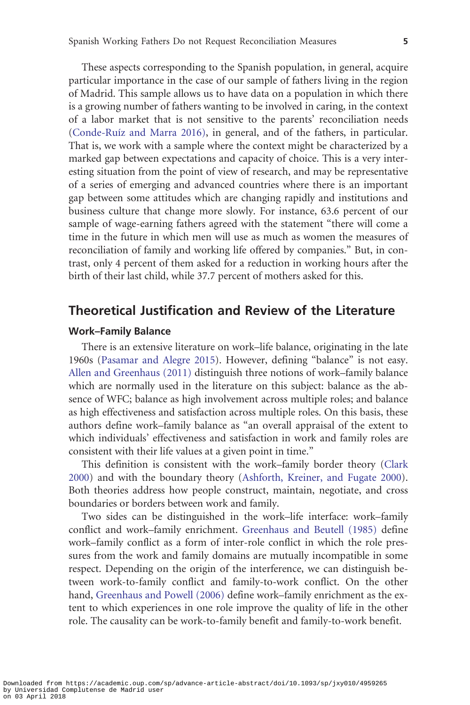These aspects corresponding to the Spanish population, in general, acquire particular importance in the case of our sample of fathers living in the region of Madrid. This sample allows us to have data on a population in which there is a growing number of fathers wanting to be involved in caring, in the context of a labor market that is not sensitive to the parents' reconciliation needs (Conde-Ruíz and Marra 2016), in general, and of the fathers, in particular. That is, we work with a sample where the context might be characterized by a marked gap between expectations and capacity of choice. This is a very interesting situation from the point of view of research, and may be representative of a series of emerging and advanced countries where there is an important gap between some attitudes which are changing rapidly and institutions and business culture that change more slowly. For instance, 63.6 percent of our sample of wage-earning fathers agreed with the statement "there will come a time in the future in which men will use as much as women the measures of reconciliation of family and working life offered by companies." But, in contrast, only 4 percent of them asked for a reduction in working hours after the birth of their last child, while 37.7 percent of mothers asked for this.

## Theoretical Justification and Review of the Literature

#### Work–Family Balance

There is an extensive literature on work–life balance, originating in the late 1960s [\(Pasamar and Alegre 2015\)](#page-27-0). However, defining "balance" is not easy. [Allen and Greenhaus \(2011\)](#page-24-0) distinguish three notions of work–family balance which are normally used in the literature on this subject: balance as the absence of WFC; balance as high involvement across multiple roles; and balance as high effectiveness and satisfaction across multiple roles. On this basis, these authors define work–family balance as "an overall appraisal of the extent to which individuals' effectiveness and satisfaction in work and family roles are consistent with their life values at a given point in time."

This definition is consistent with the work–family border theory [\(Clark](#page-25-0) [2000\)](#page-25-0) and with the boundary theory ([Ashforth, Kreiner, and Fugate 2000\)](#page-24-0). Both theories address how people construct, maintain, negotiate, and cross boundaries or borders between work and family.

Two sides can be distinguished in the work–life interface: work–family conflict and work–family enrichment. [Greenhaus and Beutell \(1985\)](#page-26-0) define work–family conflict as a form of inter-role conflict in which the role pressures from the work and family domains are mutually incompatible in some respect. Depending on the origin of the interference, we can distinguish between work-to-family conflict and family-to-work conflict. On the other hand, [Greenhaus and Powell \(2006\)](#page-26-0) define work–family enrichment as the extent to which experiences in one role improve the quality of life in the other role. The causality can be work-to-family benefit and family-to-work benefit.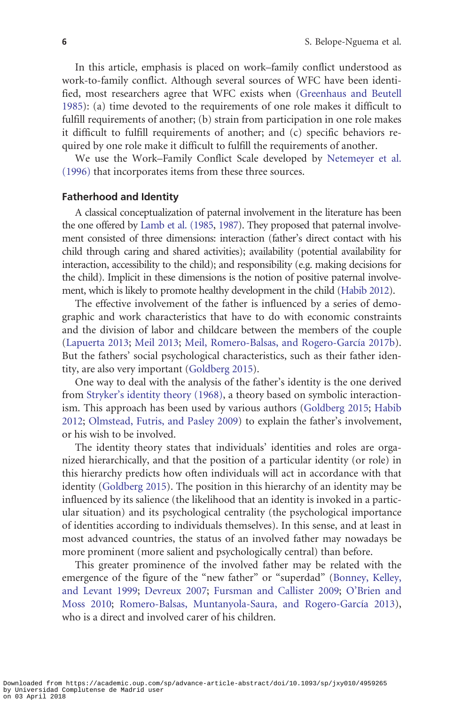In this article, emphasis is placed on work–family conflict understood as work-to-family conflict. Although several sources of WFC have been identified, most researchers agree that WFC exists when ([Greenhaus and Beutell](#page-26-0) [1985\)](#page-26-0): (a) time devoted to the requirements of one role makes it difficult to fulfill requirements of another; (b) strain from participation in one role makes it difficult to fulfill requirements of another; and (c) specific behaviors required by one role make it difficult to fulfill the requirements of another.

We use the Work–Family Conflict Scale developed by [Netemeyer et al.](#page-27-0) [\(1996\)](#page-27-0) that incorporates items from these three sources.

#### Fatherhood and Identity

A classical conceptualization of paternal involvement in the literature has been the one offered by [Lamb et al. \(1985,](#page-26-0) [1987\)](#page-26-0). They proposed that paternal involvement consisted of three dimensions: interaction (father's direct contact with his child through caring and shared activities); availability (potential availability for interaction, accessibility to the child); and responsibility (e.g. making decisions for the child). Implicit in these dimensions is the notion of positive paternal involvement, which is likely to promote healthy development in the child [\(Habib 2012\)](#page-26-0).

The effective involvement of the father is influenced by a series of demographic and work characteristics that have to do with economic constraints and the division of labor and childcare between the members of the couple ([Lapuerta 2013](#page-26-0); [Meil 2013](#page-26-0); Meil, Romero-Balsas, and Rogero-García 2017b). But the fathers' social psychological characteristics, such as their father identity, are also very important ([Goldberg 2015](#page-26-0)).

One way to deal with the analysis of the father's identity is the one derived from [Stryker's identity theory \(1968\),](#page-27-0) a theory based on symbolic interactionism. This approach has been used by various authors [\(Goldberg 2015;](#page-26-0) [Habib](#page-26-0) [2012;](#page-26-0) [Olmstead, Futris, and Pasley 2009\)](#page-27-0) to explain the father's involvement, or his wish to be involved.

The identity theory states that individuals' identities and roles are organized hierarchically, and that the position of a particular identity (or role) in this hierarchy predicts how often individuals will act in accordance with that identity [\(Goldberg 2015\)](#page-26-0). The position in this hierarchy of an identity may be influenced by its salience (the likelihood that an identity is invoked in a particular situation) and its psychological centrality (the psychological importance of identities according to individuals themselves). In this sense, and at least in most advanced countries, the status of an involved father may nowadays be more prominent (more salient and psychologically central) than before.

This greater prominence of the involved father may be related with the emergence of the figure of the "new father" or "superdad" [\(Bonney, Kelley,](#page-25-0) [and Levant 1999](#page-25-0); [Devreux 2007;](#page-25-0) [Fursman and Callister 2009;](#page-26-0) [O'Brien and](#page-27-0) [Moss 2010](#page-27-0); Romero-Balsas, Muntanyola-Saura, and Rogero-García 2013), who is a direct and involved carer of his children.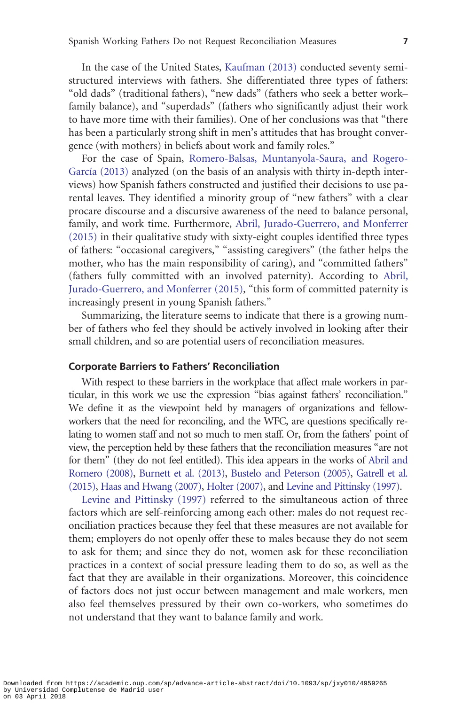In the case of the United States, [Kaufman \(2013\)](#page-26-0) conducted seventy semistructured interviews with fathers. She differentiated three types of fathers: "old dads" (traditional fathers), "new dads" (fathers who seek a better work– family balance), and "superdads" (fathers who significantly adjust their work to have more time with their families). One of her conclusions was that "there has been a particularly strong shift in men's attitudes that has brought convergence (with mothers) in beliefs about work and family roles."

For the case of Spain, [Romero-Balsas, Muntanyola-Saura, and Rogero-](#page-27-0)García (2013) analyzed (on the basis of an analysis with thirty in-depth interviews) how Spanish fathers constructed and justified their decisions to use parental leaves. They identified a minority group of "new fathers" with a clear procare discourse and a discursive awareness of the need to balance personal, family, and work time. Furthermore, [Abril, Jurado-Guerrero, and Monferrer](#page-24-0) [\(2015\)](#page-24-0) in their qualitative study with sixty-eight couples identified three types of fathers: "occasional caregivers," "assisting caregivers" (the father helps the mother, who has the main responsibility of caring), and "committed fathers" (fathers fully committed with an involved paternity). According to [Abril,](#page-24-0) [Jurado-Guerrero, and Monferrer \(2015\)](#page-24-0), "this form of committed paternity is increasingly present in young Spanish fathers."

Summarizing, the literature seems to indicate that there is a growing number of fathers who feel they should be actively involved in looking after their small children, and so are potential users of reconciliation measures.

#### Corporate Barriers to Fathers' Reconciliation

With respect to these barriers in the workplace that affect male workers in particular, in this work we use the expression "bias against fathers' reconciliation." We define it as the viewpoint held by managers of organizations and fellowworkers that the need for reconciling, and the WFC, are questions specifically relating to women staff and not so much to men staff. Or, from the fathers' point of view, the perception held by these fathers that the reconciliation measures "are not for them" (they do not feel entitled). This idea appears in the works of [Abril and](#page-24-0) [Romero \(2008\)](#page-24-0), [Burnett et al. \(2013\),](#page-25-0) [Bustelo and Peterson \(2005\),](#page-25-0) [Gatrell et al.](#page-26-0) [\(2015\),](#page-26-0) [Haas and Hwang \(2007\)](#page-26-0), [Holter \(2007\),](#page-26-0) and [Levine and Pittinsky \(1997\)](#page-26-0).

[Levine and Pittinsky \(1997\)](#page-26-0) referred to the simultaneous action of three factors which are self-reinforcing among each other: males do not request reconciliation practices because they feel that these measures are not available for them; employers do not openly offer these to males because they do not seem to ask for them; and since they do not, women ask for these reconciliation practices in a context of social pressure leading them to do so, as well as the fact that they are available in their organizations. Moreover, this coincidence of factors does not just occur between management and male workers, men also feel themselves pressured by their own co-workers, who sometimes do not understand that they want to balance family and work.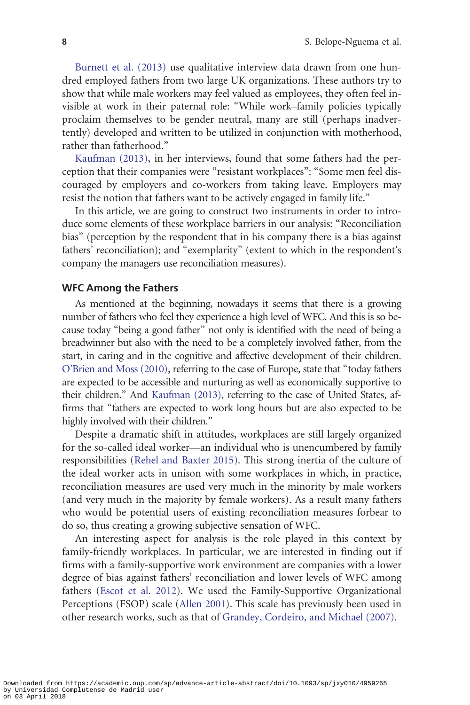[Burnett et al. \(2013\)](#page-25-0) use qualitative interview data drawn from one hundred employed fathers from two large UK organizations. These authors try to show that while male workers may feel valued as employees, they often feel invisible at work in their paternal role: "While work–family policies typically proclaim themselves to be gender neutral, many are still (perhaps inadvertently) developed and written to be utilized in conjunction with motherhood, rather than fatherhood."

[Kaufman \(2013\),](#page-26-0) in her interviews, found that some fathers had the perception that their companies were "resistant workplaces": "Some men feel discouraged by employers and co-workers from taking leave. Employers may resist the notion that fathers want to be actively engaged in family life."

In this article, we are going to construct two instruments in order to introduce some elements of these workplace barriers in our analysis: "Reconciliation bias" (perception by the respondent that in his company there is a bias against fathers' reconciliation); and "exemplarity" (extent to which in the respondent's company the managers use reconciliation measures).

#### WFC Among the Fathers

As mentioned at the beginning, nowadays it seems that there is a growing number of fathers who feel they experience a high level of WFC. And this is so because today "being a good father" not only is identified with the need of being a breadwinner but also with the need to be a completely involved father, from the start, in caring and in the cognitive and affective development of their children. [O'Brien and Moss \(2010\)](#page-27-0), referring to the case of Europe, state that "today fathers are expected to be accessible and nurturing as well as economically supportive to their children." And [Kaufman \(2013\)](#page-26-0), referring to the case of United States, affirms that "fathers are expected to work long hours but are also expected to be highly involved with their children."

Despite a dramatic shift in attitudes, workplaces are still largely organized for the so-called ideal worker—an individual who is unencumbered by family responsibilities [\(Rehel and Baxter 2015\).](#page-27-0) This strong inertia of the culture of the ideal worker acts in unison with some workplaces in which, in practice, reconciliation measures are used very much in the minority by male workers (and very much in the majority by female workers). As a result many fathers who would be potential users of existing reconciliation measures forbear to do so, thus creating a growing subjective sensation of WFC.

An interesting aspect for analysis is the role played in this context by family-friendly workplaces. In particular, we are interested in finding out if firms with a family-supportive work environment are companies with a lower degree of bias against fathers' reconciliation and lower levels of WFC among fathers [\(Escot et al. 2012](#page-25-0)). We used the Family-Supportive Organizational Perceptions (FSOP) scale ([Allen 2001](#page-24-0)). This scale has previously been used in other research works, such as that of [Grandey, Cordeiro, and Michael \(2007\)](#page-26-0).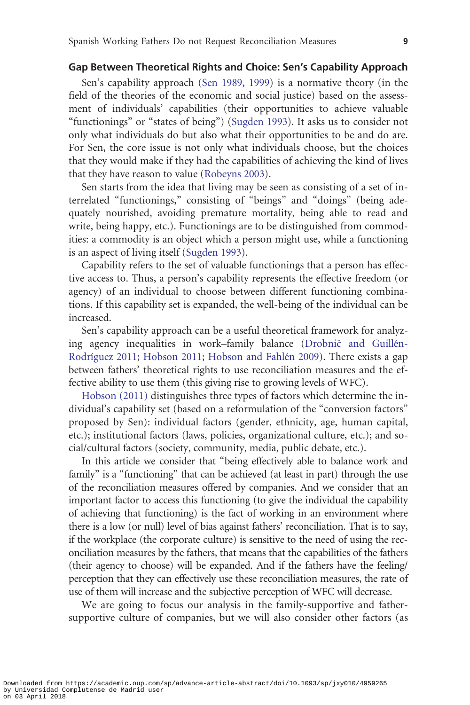#### Gap Between Theoretical Rights and Choice: Sen's Capability Approach

Sen's capability approach ([Sen 1989,](#page-27-0) [1999\)](#page-27-0) is a normative theory (in the field of the theories of the economic and social justice) based on the assessment of individuals' capabilities (their opportunities to achieve valuable "functionings" or "states of being") ([Sugden 1993](#page-27-0)). It asks us to consider not only what individuals do but also what their opportunities to be and do are. For Sen, the core issue is not only what individuals choose, but the choices that they would make if they had the capabilities of achieving the kind of lives that they have reason to value ([Robeyns 2003](#page-27-0)).

Sen starts from the idea that living may be seen as consisting of a set of interrelated "functionings," consisting of "beings" and "doings" (being adequately nourished, avoiding premature mortality, being able to read and write, being happy, etc.). Functionings are to be distinguished from commodities: a commodity is an object which a person might use, while a functioning is an aspect of living itself ([Sugden 1993\)](#page-27-0).

Capability refers to the set of valuable functionings that a person has effective access to. Thus, a person's capability represents the effective freedom (or agency) of an individual to choose between different functioning combinations. If this capability set is expanded, the well-being of the individual can be increased.

Sen's capability approach can be a useful theoretical framework for analyz-ing agency inequalities in work-family balance [\(Drobni](#page-25-0)č and Guillén-Rodríguez 2011; [Hobson 2011;](#page-26-0) Hobson and Fahlén 2009). There exists a gap between fathers' theoretical rights to use reconciliation measures and the effective ability to use them (this giving rise to growing levels of WFC).

[Hobson \(2011\)](#page-26-0) distinguishes three types of factors which determine the individual's capability set (based on a reformulation of the "conversion factors" proposed by Sen): individual factors (gender, ethnicity, age, human capital, etc.); institutional factors (laws, policies, organizational culture, etc.); and social/cultural factors (society, community, media, public debate, etc.).

In this article we consider that "being effectively able to balance work and family" is a "functioning" that can be achieved (at least in part) through the use of the reconciliation measures offered by companies. And we consider that an important factor to access this functioning (to give the individual the capability of achieving that functioning) is the fact of working in an environment where there is a low (or null) level of bias against fathers' reconciliation. That is to say, if the workplace (the corporate culture) is sensitive to the need of using the reconciliation measures by the fathers, that means that the capabilities of the fathers (their agency to choose) will be expanded. And if the fathers have the feeling/ perception that they can effectively use these reconciliation measures, the rate of use of them will increase and the subjective perception of WFC will decrease.

We are going to focus our analysis in the family-supportive and fathersupportive culture of companies, but we will also consider other factors (as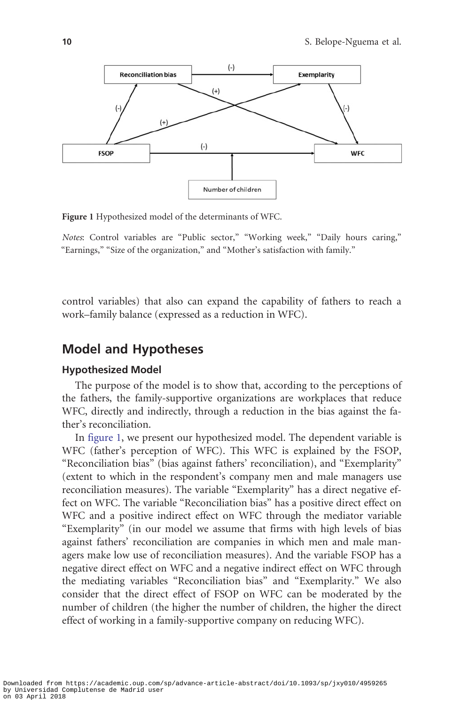<span id="page-9-0"></span>

Figure 1 Hypothesized model of the determinants of WFC.

Notes: Control variables are "Public sector," "Working week," "Daily hours caring," "Earnings," "Size of the organization," and "Mother's satisfaction with family."

control variables) that also can expand the capability of fathers to reach a work–family balance (expressed as a reduction in WFC).

## Model and Hypotheses

#### Hypothesized Model

The purpose of the model is to show that, according to the perceptions of the fathers, the family-supportive organizations are workplaces that reduce WFC, directly and indirectly, through a reduction in the bias against the father's reconciliation.

In figure 1, we present our hypothesized model. The dependent variable is WFC (father's perception of WFC). This WFC is explained by the FSOP, "Reconciliation bias" (bias against fathers' reconciliation), and "Exemplarity" (extent to which in the respondent's company men and male managers use reconciliation measures). The variable "Exemplarity" has a direct negative effect on WFC. The variable "Reconciliation bias" has a positive direct effect on WFC and a positive indirect effect on WFC through the mediator variable "Exemplarity" (in our model we assume that firms with high levels of bias against fathers' reconciliation are companies in which men and male managers make low use of reconciliation measures). And the variable FSOP has a negative direct effect on WFC and a negative indirect effect on WFC through the mediating variables "Reconciliation bias" and "Exemplarity." We also consider that the direct effect of FSOP on WFC can be moderated by the number of children (the higher the number of children, the higher the direct effect of working in a family-supportive company on reducing WFC).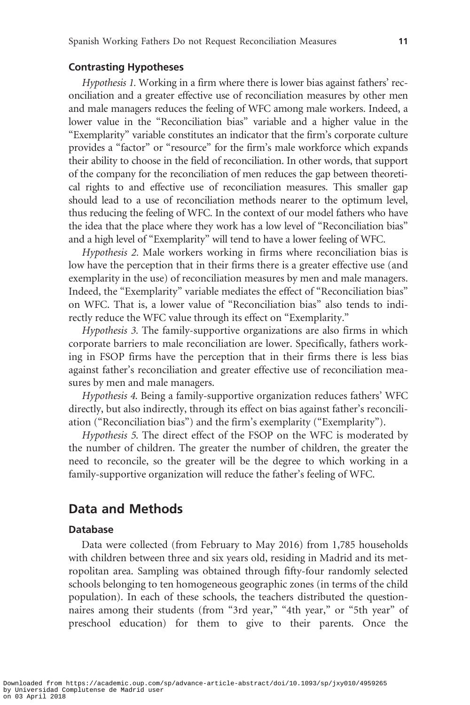#### Contrasting Hypotheses

Hypothesis 1. Working in a firm where there is lower bias against fathers' reconciliation and a greater effective use of reconciliation measures by other men and male managers reduces the feeling of WFC among male workers. Indeed, a lower value in the "Reconciliation bias" variable and a higher value in the "Exemplarity" variable constitutes an indicator that the firm's corporate culture provides a "factor" or "resource" for the firm's male workforce which expands their ability to choose in the field of reconciliation. In other words, that support of the company for the reconciliation of men reduces the gap between theoretical rights to and effective use of reconciliation measures. This smaller gap should lead to a use of reconciliation methods nearer to the optimum level, thus reducing the feeling of WFC. In the context of our model fathers who have the idea that the place where they work has a low level of "Reconciliation bias" and a high level of "Exemplarity" will tend to have a lower feeling of WFC.

Hypothesis 2. Male workers working in firms where reconciliation bias is low have the perception that in their firms there is a greater effective use (and exemplarity in the use) of reconciliation measures by men and male managers. Indeed, the "Exemplarity" variable mediates the effect of "Reconciliation bias" on WFC. That is, a lower value of "Reconciliation bias" also tends to indirectly reduce the WFC value through its effect on "Exemplarity."

Hypothesis 3. The family-supportive organizations are also firms in which corporate barriers to male reconciliation are lower. Specifically, fathers working in FSOP firms have the perception that in their firms there is less bias against father's reconciliation and greater effective use of reconciliation measures by men and male managers.

Hypothesis 4. Being a family-supportive organization reduces fathers' WFC directly, but also indirectly, through its effect on bias against father's reconciliation ("Reconciliation bias") and the firm's exemplarity ("Exemplarity").

Hypothesis 5. The direct effect of the FSOP on the WFC is moderated by the number of children. The greater the number of children, the greater the need to reconcile, so the greater will be the degree to which working in a family-supportive organization will reduce the father's feeling of WFC.

## Data and Methods

#### Database

Data were collected (from February to May 2016) from 1,785 households with children between three and six years old, residing in Madrid and its metropolitan area. Sampling was obtained through fifty-four randomly selected schools belonging to ten homogeneous geographic zones (in terms of the child population). In each of these schools, the teachers distributed the questionnaires among their students (from "3rd year," "4th year," or "5th year" of preschool education) for them to give to their parents. Once the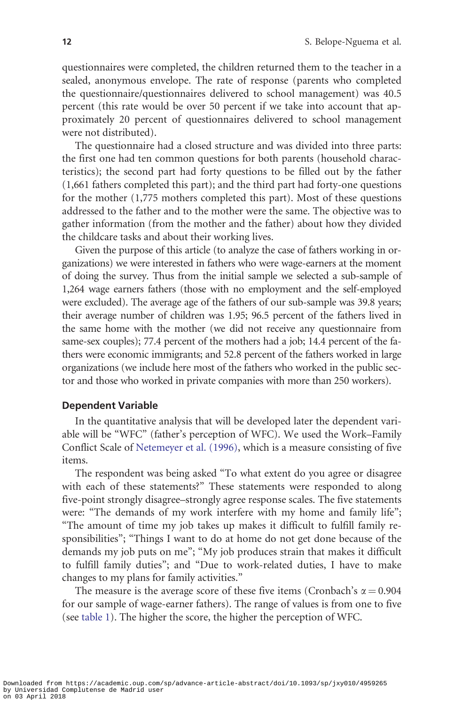questionnaires were completed, the children returned them to the teacher in a sealed, anonymous envelope. The rate of response (parents who completed the questionnaire/questionnaires delivered to school management) was 40.5 percent (this rate would be over 50 percent if we take into account that approximately 20 percent of questionnaires delivered to school management were not distributed).

The questionnaire had a closed structure and was divided into three parts: the first one had ten common questions for both parents (household characteristics); the second part had forty questions to be filled out by the father (1,661 fathers completed this part); and the third part had forty-one questions for the mother (1,775 mothers completed this part). Most of these questions addressed to the father and to the mother were the same. The objective was to gather information (from the mother and the father) about how they divided the childcare tasks and about their working lives.

Given the purpose of this article (to analyze the case of fathers working in organizations) we were interested in fathers who were wage-earners at the moment of doing the survey. Thus from the initial sample we selected a sub-sample of 1,264 wage earners fathers (those with no employment and the self-employed were excluded). The average age of the fathers of our sub-sample was 39.8 years; their average number of children was 1.95; 96.5 percent of the fathers lived in the same home with the mother (we did not receive any questionnaire from same-sex couples); 77.4 percent of the mothers had a job; 14.4 percent of the fathers were economic immigrants; and 52.8 percent of the fathers worked in large organizations (we include here most of the fathers who worked in the public sector and those who worked in private companies with more than 250 workers).

#### Dependent Variable

In the quantitative analysis that will be developed later the dependent variable will be "WFC" (father's perception of WFC). We used the Work–Family Conflict Scale of [Netemeyer et al. \(1996\)](#page-27-0), which is a measure consisting of five items.

The respondent was being asked "To what extent do you agree or disagree with each of these statements?" These statements were responded to along five-point strongly disagree–strongly agree response scales. The five statements were: "The demands of my work interfere with my home and family life"; "The amount of time my job takes up makes it difficult to fulfill family responsibilities"; "Things I want to do at home do not get done because of the demands my job puts on me"; "My job produces strain that makes it difficult to fulfill family duties"; and "Due to work-related duties, I have to make changes to my plans for family activities."

The measure is the average score of these five items (Cronbach's  $\alpha = 0.904$ ) for our sample of wage-earner fathers). The range of values is from one to five (see [table 1](#page-13-0)). The higher the score, the higher the perception of WFC.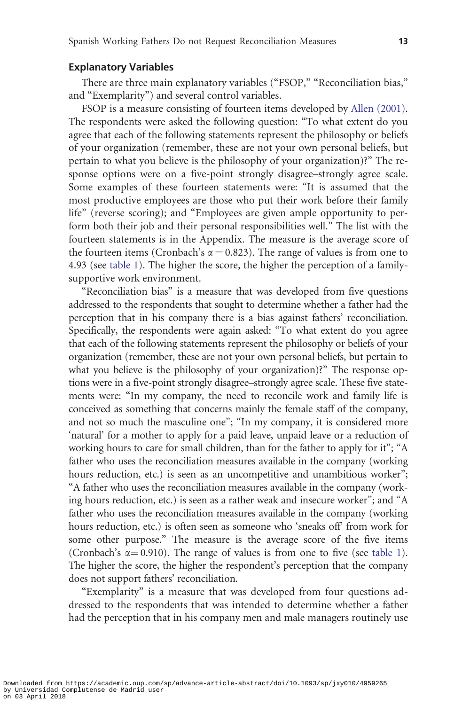#### Explanatory Variables

There are three main explanatory variables ("FSOP," "Reconciliation bias," and "Exemplarity") and several control variables.

FSOP is a measure consisting of fourteen items developed by [Allen \(2001\).](#page-24-0) The respondents were asked the following question: "To what extent do you agree that each of the following statements represent the philosophy or beliefs of your organization (remember, these are not your own personal beliefs, but pertain to what you believe is the philosophy of your organization)?" The response options were on a five-point strongly disagree–strongly agree scale. Some examples of these fourteen statements were: "It is assumed that the most productive employees are those who put their work before their family life" (reverse scoring); and "Employees are given ample opportunity to perform both their job and their personal responsibilities well." The list with the fourteen statements is in the Appendix. The measure is the average score of the fourteen items (Cronbach's  $\alpha$  = 0.823). The range of values is from one to 4.93 (see [table 1](#page-13-0)). The higher the score, the higher the perception of a familysupportive work environment.

"Reconciliation bias" is a measure that was developed from five questions addressed to the respondents that sought to determine whether a father had the perception that in his company there is a bias against fathers' reconciliation. Specifically, the respondents were again asked: "To what extent do you agree that each of the following statements represent the philosophy or beliefs of your organization (remember, these are not your own personal beliefs, but pertain to what you believe is the philosophy of your organization)?" The response options were in a five-point strongly disagree–strongly agree scale. These five statements were: "In my company, the need to reconcile work and family life is conceived as something that concerns mainly the female staff of the company, and not so much the masculine one"; "In my company, it is considered more 'natural' for a mother to apply for a paid leave, unpaid leave or a reduction of working hours to care for small children, than for the father to apply for it"; "A father who uses the reconciliation measures available in the company (working hours reduction, etc.) is seen as an uncompetitive and unambitious worker"; "A father who uses the reconciliation measures available in the company (working hours reduction, etc.) is seen as a rather weak and insecure worker"; and "A father who uses the reconciliation measures available in the company (working hours reduction, etc.) is often seen as someone who 'sneaks off' from work for some other purpose." The measure is the average score of the five items (Cronbach's  $\alpha$  = 0.910). The range of values is from one to five (see [table 1](#page-13-0)). The higher the score, the higher the respondent's perception that the company does not support fathers' reconciliation.

"Exemplarity" is a measure that was developed from four questions addressed to the respondents that was intended to determine whether a father had the perception that in his company men and male managers routinely use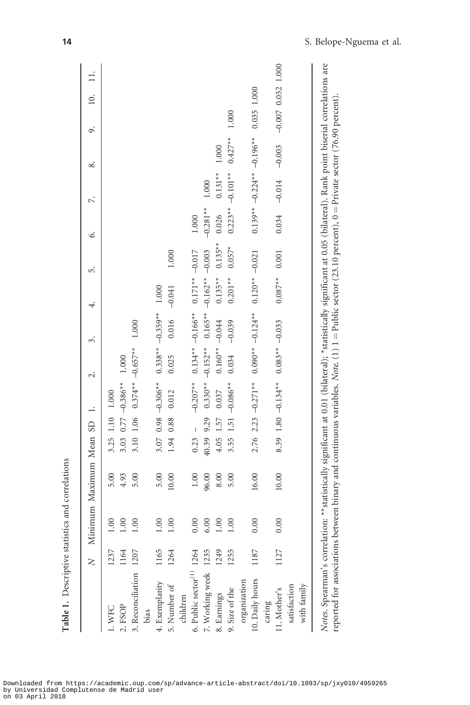<span id="page-13-0"></span>

|                                                                                                                                                                                                                                                                                                                                        |      |      | Minimum Maximum Mean SD |       |                |                       | $\sim$             | 3.                                               | 4                         | ഗ്        | ق          | r.                                 | ∞        | e.                   | $\overline{a}$ | $\exists$ |
|----------------------------------------------------------------------------------------------------------------------------------------------------------------------------------------------------------------------------------------------------------------------------------------------------------------------------------------|------|------|-------------------------|-------|----------------|-----------------------|--------------------|--------------------------------------------------|---------------------------|-----------|------------|------------------------------------|----------|----------------------|----------------|-----------|
| 1. WFC                                                                                                                                                                                                                                                                                                                                 | 1237 | 00.1 | 5.00                    | 3.25  |                | 1.10 1.000            |                    |                                                  |                           |           |            |                                    |          |                      |                |           |
| 2. FSOP                                                                                                                                                                                                                                                                                                                                | 1164 | 00.1 | 4.93                    | 3.03  |                | $0.77 - 0.386**$      | 1.000              |                                                  |                           |           |            |                                    |          |                      |                |           |
| 3. Reconciliation 1207                                                                                                                                                                                                                                                                                                                 |      | 1.00 | 5.00                    | 3.10  | 1.06           |                       | $0.374** -0.657**$ | 1.000                                            |                           |           |            |                                    |          |                      |                |           |
| bias                                                                                                                                                                                                                                                                                                                                   |      |      |                         |       |                |                       |                    |                                                  |                           |           |            |                                    |          |                      |                |           |
| 4. Exemplarity                                                                                                                                                                                                                                                                                                                         | 1165 | 00.1 | 5.00                    | 3.07  |                | $0.98 - 0.306**$      |                    | $0.338** -0.359**$                               | 1.000                     |           |            |                                    |          |                      |                |           |
| 5. Number of                                                                                                                                                                                                                                                                                                                           | 1264 | 1.00 | 10.00                   | 1.94  | 0.88           | 0.012                 | 0.025              | 0.016                                            | $-0.041$                  | 1.000     |            |                                    |          |                      |                |           |
| children                                                                                                                                                                                                                                                                                                                               |      |      |                         |       |                |                       |                    |                                                  |                           |           |            |                                    |          |                      |                |           |
| 6. Public sector $^{(1)}$ 1264                                                                                                                                                                                                                                                                                                         |      | 0.00 | 1.00                    | 0.23  | $\overline{1}$ |                       |                    | $-0.207**$ 0.134** $-0.166**$                    | $0.171** -0.017$          |           | 1.000      |                                    |          |                      |                |           |
| 7. Working week 1235                                                                                                                                                                                                                                                                                                                   |      | 6.00 | 96.00                   | 40.39 | 9.29           |                       | $0.330** -0.152**$ |                                                  | $0.165** -0.162** -0.003$ |           | $-0.281**$ | 1.000                              |          |                      |                |           |
| 8. Earnings                                                                                                                                                                                                                                                                                                                            | 1249 | 00.1 | 8.00                    | 4.05  | 1.57           | 0.037                 | $0.160** -0.044$   |                                                  | $0.135**$                 | $0.135**$ | 0.026      | $0.131**$                          | 1.000    |                      |                |           |
| 9. Size of the                                                                                                                                                                                                                                                                                                                         | 1255 | 00.1 | 5.00                    | 3.55  |                | $1.51 -0.086**$       | 0.034              | $-0.039$                                         | $0.201**$                 | $0.057*$  | $0.223**$  | $-0.101**$ 0.427 <sup>**</sup>     |          | 1.000                |                |           |
| 10. Daily hours<br>organization                                                                                                                                                                                                                                                                                                        | 1187 | 0.00 | 16.00                   | 2.76  |                |                       |                    | $2.23 -0.271**$ $-0.120**$ $-0.120**$ $-0.120**$ |                           |           |            | $0.139$ ** $-0.224$ ** $-0.196$ ** |          | 0.035 1.000          |                |           |
| caring                                                                                                                                                                                                                                                                                                                                 |      |      |                         |       |                |                       |                    |                                                  |                           |           |            |                                    |          |                      |                |           |
| 11. Mother's                                                                                                                                                                                                                                                                                                                           | 1127 | 0.00 | 10.00                   |       |                | 8.39 $1.80 - 0.134**$ | $0.083** -0.033$   |                                                  | $0.087**$                 | 0.001     | 0.034      | $-0.014$                           | $-0.003$ | $-0.007$ 0.052 1.000 |                |           |
| satisfaction                                                                                                                                                                                                                                                                                                                           |      |      |                         |       |                |                       |                    |                                                  |                           |           |            |                                    |          |                      |                |           |
| with family                                                                                                                                                                                                                                                                                                                            |      |      |                         |       |                |                       |                    |                                                  |                           |           |            |                                    |          |                      |                |           |
| Notes. Spearman's correlation: **statistically significant at 0.01 (bilateral); *statistically significant at 0.05 (bilateral). Rank point biserial correlations are<br>reported for associations between binary and continuous variables. <i>Note.</i> (1) $1 =$ Public sector (23.10 percent), $0 =$ Pirvate sector (76.90 percent). |      |      |                         |       |                |                       |                    |                                                  |                           |           |            |                                    |          |                      |                |           |

Table 1. Descriptive statistics and correlations Table 1. Descriptive statistics and correlations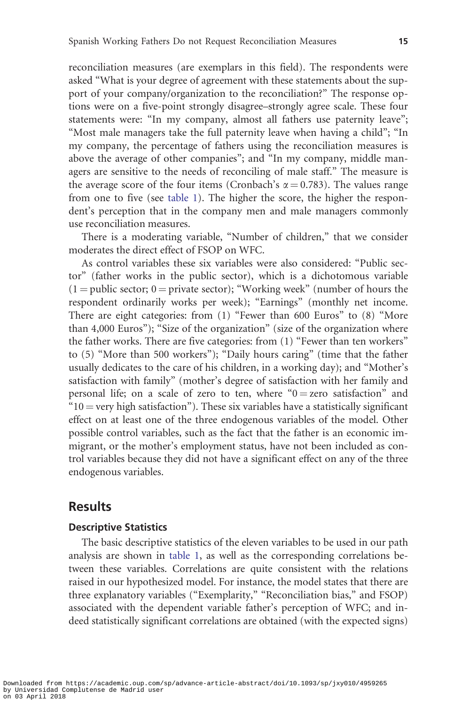reconciliation measures (are exemplars in this field). The respondents were asked "What is your degree of agreement with these statements about the support of your company/organization to the reconciliation?" The response options were on a five-point strongly disagree–strongly agree scale. These four statements were: "In my company, almost all fathers use paternity leave"; "Most male managers take the full paternity leave when having a child"; "In my company, the percentage of fathers using the reconciliation measures is above the average of other companies"; and "In my company, middle managers are sensitive to the needs of reconciling of male staff." The measure is the average score of the four items (Cronbach's  $\alpha = 0.783$ ). The values range from one to five (see [table 1\)](#page-13-0). The higher the score, the higher the respondent's perception that in the company men and male managers commonly use reconciliation measures.

There is a moderating variable, "Number of children," that we consider moderates the direct effect of FSOP on WFC.

As control variables these six variables were also considered: "Public sector" (father works in the public sector), which is a dichotomous variable  $(1 = \text{public sector}; 0 = \text{private sector})$ ; "Working week" (number of hours the respondent ordinarily works per week); "Earnings" (monthly net income. There are eight categories: from (1) "Fewer than 600 Euros" to (8) "More than 4,000 Euros"); "Size of the organization" (size of the organization where the father works. There are five categories: from (1) "Fewer than ten workers" to (5) "More than 500 workers"); "Daily hours caring" (time that the father usually dedicates to the care of his children, in a working day); and "Mother's satisfaction with family" (mother's degree of satisfaction with her family and personal life; on a scale of zero to ten, where " $0 =$ zero satisfaction" and " $10 = \text{very high satisfaction}$ "). These six variables have a statistically significant effect on at least one of the three endogenous variables of the model. Other possible control variables, such as the fact that the father is an economic immigrant, or the mother's employment status, have not been included as control variables because they did not have a significant effect on any of the three endogenous variables.

### Results

#### Descriptive Statistics

The basic descriptive statistics of the eleven variables to be used in our path analysis are shown in [table 1](#page-13-0), as well as the corresponding correlations between these variables. Correlations are quite consistent with the relations raised in our hypothesized model. For instance, the model states that there are three explanatory variables ("Exemplarity," "Reconciliation bias," and FSOP) associated with the dependent variable father's perception of WFC; and indeed statistically significant correlations are obtained (with the expected signs)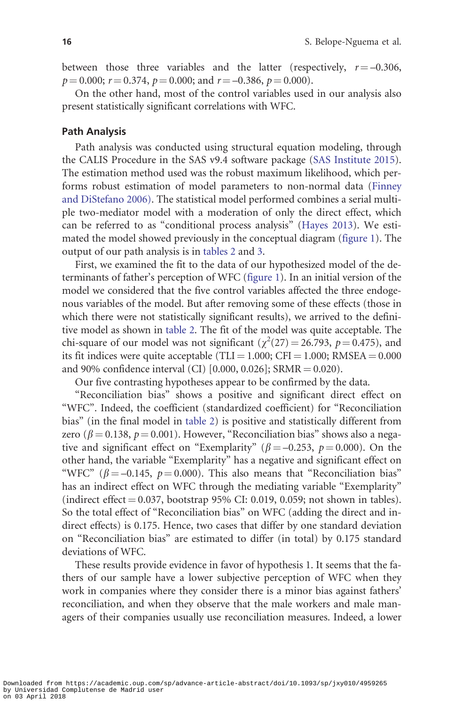between those three variables and the latter (respectively,  $r = -0.306$ ,  $p = 0.000$ ;  $r = 0.374$ ,  $p = 0.000$ ; and  $r = -0.386$ ,  $p = 0.000$ ).

On the other hand, most of the control variables used in our analysis also present statistically significant correlations with WFC.

#### Path Analysis

Path analysis was conducted using structural equation modeling, through the CALIS Procedure in the SAS v9.4 software package ([SAS Institute 2015\)](#page-27-0). The estimation method used was the robust maximum likelihood, which performs robust estimation of model parameters to non-normal data ([Finney](#page-25-0) [and DiStefano 2006\)](#page-25-0). The statistical model performed combines a serial multiple two-mediator model with a moderation of only the direct effect, which can be referred to as "conditional process analysis" [\(Hayes 2013](#page-26-0)). We estimated the model showed previously in the conceptual diagram [\(figure 1\)](#page-9-0). The output of our path analysis is in [tables 2](#page-16-0) and [3](#page-17-0).

First, we examined the fit to the data of our hypothesized model of the determinants of father's perception of WFC [\(figure 1](#page-9-0)). In an initial version of the model we considered that the five control variables affected the three endogenous variables of the model. But after removing some of these effects (those in which there were not statistically significant results), we arrived to the definitive model as shown in [table 2.](#page-16-0) The fit of the model was quite acceptable. The chi-square of our model was not significant ( $\chi^2(27) = 26.793$ ,  $p = 0.475$ ), and its fit indices were quite acceptable (TLI =  $1.000$ ; CFI =  $1.000$ ; RMSEA =  $0.000$ and 90% confidence interval (CI)  $[0.000, 0.026]$ ; SRMR = 0.020).

Our five contrasting hypotheses appear to be confirmed by the data.

"Reconciliation bias" shows a positive and significant direct effect on "WFC". Indeed, the coefficient (standardized coefficient) for "Reconciliation bias" (in the final model in [table 2](#page-16-0)) is positive and statistically different from zero ( $\beta$  = 0.138, p = 0.001). However, "Reconciliation bias" shows also a negative and significant effect on "Exemplarity" ( $\beta = -0.253$ ,  $p = 0.000$ ). On the other hand, the variable "Exemplarity" has a negative and significant effect on "WFC" ( $\beta = -0.145$ ,  $p = 0.000$ ). This also means that "Reconciliation bias" has an indirect effect on WFC through the mediating variable "Exemplarity" (indirect effect  $= 0.037$ , bootstrap 95% CI: 0.019, 0.059; not shown in tables). So the total effect of "Reconciliation bias" on WFC (adding the direct and indirect effects) is 0.175. Hence, two cases that differ by one standard deviation on "Reconciliation bias" are estimated to differ (in total) by 0.175 standard deviations of WFC.

These results provide evidence in favor of hypothesis 1. It seems that the fathers of our sample have a lower subjective perception of WFC when they work in companies where they consider there is a minor bias against fathers' reconciliation, and when they observe that the male workers and male managers of their companies usually use reconciliation measures. Indeed, a lower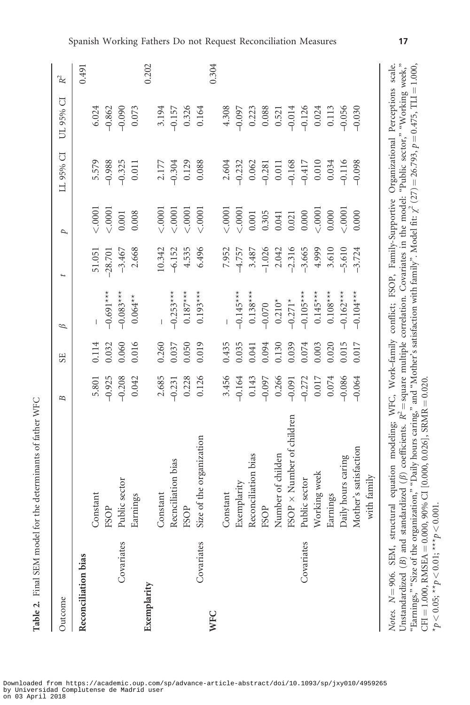| <b>ATTL</b>                                   |  |
|-----------------------------------------------|--|
| $\sim$ + $\sim$<br>ï                          |  |
|                                               |  |
| $-2.1144$                                     |  |
| T Art + A A<br>$\frac{1}{2}$<br>$\frac{1}{2}$ |  |
| $\overline{\phantom{a}}$<br>$\overline{a}$    |  |
| ׇ֧֚֚֕                                         |  |
| JIE 4.                                        |  |
| i<br>۲.<br>F<br>í                             |  |

<span id="page-16-0"></span>

| Outcome             |                                   | B        | SE <sub></sub> | $\beta$      |           | p           | LL 95% CI | UL 95% CI | $R^2$ |
|---------------------|-----------------------------------|----------|----------------|--------------|-----------|-------------|-----------|-----------|-------|
| Reconciliation bias |                                   |          |                |              |           |             |           |           | 0.491 |
|                     | Constant                          | 5.801    | 0.114          |              | 51.051    | < .0001     | 5.579     | 6.024     |       |
|                     | FSOP                              | $-0.925$ | 0.032          | $-0.691$ *** | $-28.701$ | < .0001     | $-0.988$  | $-0.862$  |       |
| Covariates          | Public sector                     | $-0.208$ | 0.060          | $-0.083**$   | $-3.467$  | 0.001       | $-0.325$  | $-0.090$  |       |
|                     | Earnings                          | 0.042    | 0.016          | $0.064**$    | 2.668     | 0.008       | $0.011\,$ | 0.073     |       |
| Exemplarity         |                                   |          |                |              |           |             |           |           | 0.202 |
|                     | Constant                          | 2.685    | 0.260          |              | 10.342    | $-0001$     | 2.177     | 3.194     |       |
|                     | Recnciliation bias                | $-0.231$ | 0.037          | $-0.253***$  | $-6.152$  | < .0001     | $-0.304$  | $-0.157$  |       |
|                     | FSOP                              | 0.228    | 0.050          | $0.187***$   | 4.535     | < .0001     | 0.129     | 0.326     |       |
| Covariates          | Size of the organization          | 0.126    | 0.019          | $0.193***$   | 6.496     | < .0001     | 0.088     | 0.164     |       |
| <b>WFC</b>          |                                   |          |                |              |           |             |           |           | 0.304 |
|                     | Constant                          | 3.456    | 0.435          |              | 7.952     | 0001        | 2.604     | 4.308     |       |
|                     | Exemplarity                       | $-0.164$ | 0.035          | $-0.145***$  | $-4.757$  | < .0001     | $-0.232$  | $-0.097$  |       |
|                     | Reconciliation bias               | 0.143    | 0.041          | $0.138***$   | 3.487     | $0.001$     | 0.062     | 0.223     |       |
|                     | FSOP                              | $-0.097$ | 0.094          | 0.070        | $-1.026$  | 0.305       | $-0.281$  | 0.088     |       |
|                     | Number of childen                 | 0.266    | 0.130          | $0.210*$     | 2.042     | 0.041       | $0.011\,$ | 0.521     |       |
|                     | $FSOP \times N$ umber of children | $-0.091$ | 0.039          | $-0.271*$    | $-2.316$  | 0.021       | $-0.168$  | $-0.014$  |       |
| Covariates          | Public sector                     | $-0.272$ | 0.074          | $-0.105$ *** | $-3.665$  | 0.000       | $-0.417$  | $-0.126$  |       |
|                     | Working week                      | 0.017    | 0.003          | $0.145***$   | 4.999     | $\leq 0001$ | 0.010     | 0.024     |       |
|                     | Earnings                          | 0.074    | 0.020          | $0.108***$   | 3.610     | 0.000       | 0.034     | 0.113     |       |
|                     | Daily hours caring                | $-0.086$ | 0.015          | $0.162***$   | $-5.610$  | $-0001$     | $-0.116$  | $-0.056$  |       |
|                     | Mother's satisfaction             | $-0.064$ | 0.017          | $-0.104***$  | $-3.724$  | 0.000       | $-0.098$  | $-0.030$  |       |
|                     | with family                       |          |                |              |           |             |           |           |       |

Notes. N=906. SEM, structural equation modeling; WFC, Work-family conflict; FSOP, Family-Supportive Organizational Perceptions scale. Unstandardized (B) and standardized (B) coefficients.  $R^2$  = square multiple correlation. Covariates in the model: "Public sector," "Working week," 906. SEM, structural equation modeling; WFC, Work–family conflict; FSOP, Family-Supportive Organizational Perceptions scale.  $R<sup>2</sup>$  = square multiple correlation. Covariates in the model: "Public sector," "Working week,"  $= 1.000,$  $= 26.793, p = 0.475, TLI$ "Earnings," "Size of the organization," "Daily hours caring," and "Mother's satisfaction with family". Model fit:  $\chi^2$  (27)  $= 0.020.$  $= 0.000, 90\%$  CI  $[0.000, 0.026]$ , SRMR B) and standardized  $(\beta)$  coefficients.  $p < 0.05$ ; \*\* $p < 0.01$ ; \*\*\* $p < 0.001$ .  $*p < 0.05; *p < 0.01; * * *p < 0.001.$  $=1.000$ , RMSEA Unstandardized ( Notes. N ⊂<br>EE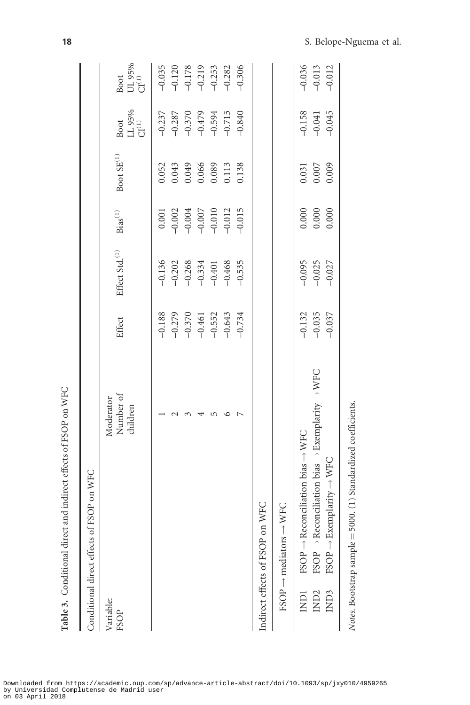<span id="page-17-0"></span>

| Conditional direct effects of FSOP on WFC                                                         |                                    |          |                                 |                       |                          |                                       |                                     |
|---------------------------------------------------------------------------------------------------|------------------------------------|----------|---------------------------------|-----------------------|--------------------------|---------------------------------------|-------------------------------------|
| Variable:<br><b>FSOP</b>                                                                          | Number of<br>Moderator<br>children | Effect   | Effect Std. $^{\left(1\right)}$ | $\mathrm{Bias}^{(1)}$ | Boot $\mathrm{SE}^{(1)}$ | $L1.95%$<br>CI <sup>(1)</sup><br>Boot | UL 95%<br>CI <sup>(1)</sup><br>Boot |
|                                                                                                   |                                    | $-0.188$ | $-0.136$                        | 0.001                 | 0.052                    | $-0.237$                              | $-0.035$                            |
|                                                                                                   |                                    | $-0.279$ | $-0.202$                        | $-0.002$              | 0.043                    | $-0.287$                              | $-0.120$                            |
|                                                                                                   |                                    | $-0.370$ | $-0.268$                        | $-0.004$              | 0.049                    | $-0.370$                              | $-0.178$                            |
|                                                                                                   |                                    | $-0.461$ | $-0.334$                        | $-0.007$              | 0.066                    | $-0.479$                              | $-0.219$                            |
|                                                                                                   |                                    | $-0.552$ | $-0.401$                        | $-0.010$              | 0.089                    | $-0.594$                              | $-0.253$                            |
|                                                                                                   |                                    | $-0.643$ | $-0.468$                        | $-0.012$              | 0.113                    | $-0.715$                              | $-0.282$                            |
|                                                                                                   |                                    | $-0.734$ | $-0.535$                        | $-0.015$              | 0.138                    | $-0.840$                              | $-0.306$                            |
| Indirect effects of FSOP on WFC                                                                   |                                    |          |                                 |                       |                          |                                       |                                     |
| $FSDP \rightarrow mediators \rightarrow WFC$                                                      |                                    |          |                                 |                       |                          |                                       |                                     |
| $FSOP \rightarrow Reconcliation bias \rightarrow WFC$<br>INDI                                     |                                    | $-0.132$ | $-0.095$                        | 0.000                 | 0.031                    | $-0.158$                              | $-0.036$                            |
| $FSOP \rightarrow Reconcliation bias \rightarrow Exemplarity \rightarrow WFC$<br>IND <sub>2</sub> |                                    | $-0.035$ | $-0.025$                        | 0.000                 | 0.007                    | $-0.041$                              | $-0.013$                            |
| $FSOP \rightarrow Exemplarity \rightarrow WFC$<br>IND <sub>3</sub>                                |                                    | $-0.037$ | $-0.027$                        | 0.000                 | 0.009                    | $-0.045$                              | $-0.012$                            |
| Notes. Bootstrap sample = 5000. (1) Standardized coefficients.                                    |                                    |          |                                 |                       |                          |                                       |                                     |

Table 3. Conditional direct and indirect effects of FSOP on WFC Table 3. Conditional direct and indirect effects of FSOP on WFC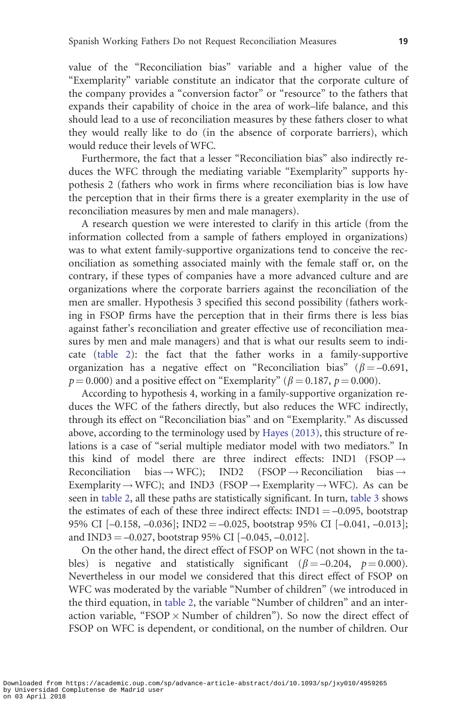value of the "Reconciliation bias" variable and a higher value of the "Exemplarity" variable constitute an indicator that the corporate culture of the company provides a "conversion factor" or "resource" to the fathers that expands their capability of choice in the area of work–life balance, and this should lead to a use of reconciliation measures by these fathers closer to what they would really like to do (in the absence of corporate barriers), which would reduce their levels of WFC.

Furthermore, the fact that a lesser "Reconciliation bias" also indirectly reduces the WFC through the mediating variable "Exemplarity" supports hypothesis 2 (fathers who work in firms where reconciliation bias is low have the perception that in their firms there is a greater exemplarity in the use of reconciliation measures by men and male managers).

A research question we were interested to clarify in this article (from the information collected from a sample of fathers employed in organizations) was to what extent family-supportive organizations tend to conceive the reconciliation as something associated mainly with the female staff or, on the contrary, if these types of companies have a more advanced culture and are organizations where the corporate barriers against the reconciliation of the men are smaller. Hypothesis 3 specified this second possibility (fathers working in FSOP firms have the perception that in their firms there is less bias against father's reconciliation and greater effective use of reconciliation measures by men and male managers) and that is what our results seem to indicate [\(table 2](#page-16-0)): the fact that the father works in a family-supportive organization has a negative effect on "Reconciliation bias" ( $\beta = -0.691$ ,  $p = 0.000$ ) and a positive effect on "Exemplarity" ( $\beta = 0.187$ ,  $p = 0.000$ ).

According to hypothesis 4, working in a family-supportive organization reduces the WFC of the fathers directly, but also reduces the WFC indirectly, through its effect on "Reconciliation bias" and on "Exemplarity." As discussed above, according to the terminology used by [Hayes \(2013\),](#page-26-0) this structure of relations is a case of "serial multiple mediator model with two mediators." In this kind of model there are three indirect effects: IND1 (FSOP  $\rightarrow$ Reconciliation bias  $\rightarrow$  WFC); IND2 (FSOP  $\rightarrow$  Reconciliation bias  $\rightarrow$ Exemplarity  $\rightarrow$  WFC); and IND3 (FSOP  $\rightarrow$  Exemplarity  $\rightarrow$  WFC). As can be seen in [table 2](#page-16-0), all these paths are statistically significant. In turn, [table 3](#page-17-0) shows the estimates of each of these three indirect effects:  $IND1 = -0.095$ , bootstrap 95% CI  $[-0.158, -0.036]$ ; IND2 = -0.025, bootstrap 95% CI  $[-0.041, -0.013]$ ; and IND3 =  $-0.027$ , bootstrap 95% CI  $[-0.045, -0.012]$ .

On the other hand, the direct effect of FSOP on WFC (not shown in the tables) is negative and statistically significant ( $\beta = -0.204$ ,  $p = 0.000$ ). Nevertheless in our model we considered that this direct effect of FSOP on WFC was moderated by the variable "Number of children" (we introduced in the third equation, in [table 2,](#page-16-0) the variable "Number of children" and an interaction variable, "FSOP  $\times$  Number of children"). So now the direct effect of FSOP on WFC is dependent, or conditional, on the number of children. Our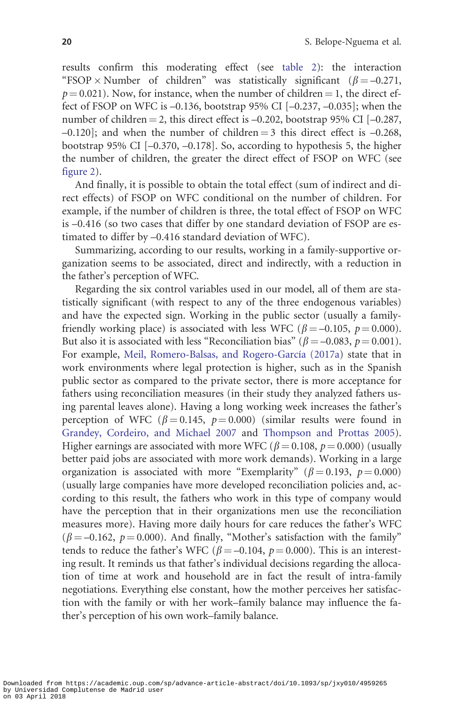results confirm this moderating effect (see [table 2](#page-16-0)): the interaction "FSOP  $\times$  Number of children" was statistically significant ( $\beta$  = -0.271,  $p = 0.021$ ). Now, for instance, when the number of children = 1, the direct effect of FSOP on WFC is –0.136, bootstrap 95% CI [–0.237, –0.035]; when the number of children  $= 2$ , this direct effect is  $-0.202$ , bootstrap 95% CI  $[-0.287,$  $-0.120$ ]; and when the number of children = 3 this direct effect is  $-0.268$ , bootstrap 95% CI [–0.370, –0.178]. So, according to hypothesis 5, the higher the number of children, the greater the direct effect of FSOP on WFC (see [figure 2](#page-20-0)).

And finally, it is possible to obtain the total effect (sum of indirect and direct effects) of FSOP on WFC conditional on the number of children. For example, if the number of children is three, the total effect of FSOP on WFC is –0.416 (so two cases that differ by one standard deviation of FSOP are estimated to differ by –0.416 standard deviation of WFC).

Summarizing, according to our results, working in a family-supportive organization seems to be associated, direct and indirectly, with a reduction in the father's perception of WFC.

Regarding the six control variables used in our model, all of them are statistically significant (with respect to any of the three endogenous variables) and have the expected sign. Working in the public sector (usually a familyfriendly working place) is associated with less WFC ( $\beta = -0.105$ ,  $p = 0.000$ ). But also it is associated with less "Reconciliation bias" ( $\beta = -0.083$ ,  $p = 0.001$ ). For example, Meil, Romero-Balsas, and Rogero-García (2017a) state that in work environments where legal protection is higher, such as in the Spanish public sector as compared to the private sector, there is more acceptance for fathers using reconciliation measures (in their study they analyzed fathers using parental leaves alone). Having a long working week increases the father's perception of WFC ( $\beta = 0.145$ ,  $p = 0.000$ ) (similar results were found in [Grandey, Cordeiro, and Michael 2007](#page-26-0) and [Thompson and Prottas 2005\)](#page-27-0). Higher earnings are associated with more WFC ( $\beta$  = 0.108, p = 0.000) (usually better paid jobs are associated with more work demands). Working in a large organization is associated with more "Exemplarity" ( $\beta = 0.193$ ,  $p = 0.000$ ) (usually large companies have more developed reconciliation policies and, according to this result, the fathers who work in this type of company would have the perception that in their organizations men use the reconciliation measures more). Having more daily hours for care reduces the father's WFC ( $\beta$  = -0.162,  $p$  = 0.000). And finally, "Mother's satisfaction with the family" tends to reduce the father's WFC ( $\beta = -0.104$ ,  $p = 0.000$ ). This is an interesting result. It reminds us that father's individual decisions regarding the allocation of time at work and household are in fact the result of intra-family negotiations. Everything else constant, how the mother perceives her satisfaction with the family or with her work–family balance may influence the father's perception of his own work–family balance.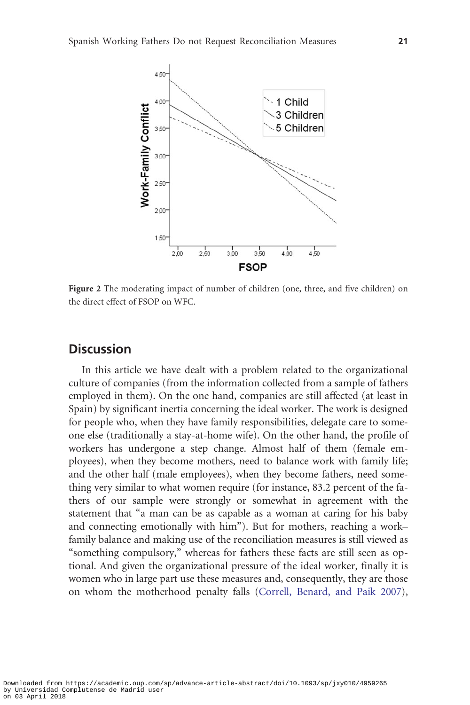<span id="page-20-0"></span>

Figure 2 The moderating impact of number of children (one, three, and five children) on the direct effect of FSOP on WFC.

## **Discussion**

In this article we have dealt with a problem related to the organizational culture of companies (from the information collected from a sample of fathers employed in them). On the one hand, companies are still affected (at least in Spain) by significant inertia concerning the ideal worker. The work is designed for people who, when they have family responsibilities, delegate care to someone else (traditionally a stay-at-home wife). On the other hand, the profile of workers has undergone a step change. Almost half of them (female employees), when they become mothers, need to balance work with family life; and the other half (male employees), when they become fathers, need something very similar to what women require (for instance, 83.2 percent of the fathers of our sample were strongly or somewhat in agreement with the statement that "a man can be as capable as a woman at caring for his baby and connecting emotionally with him"). But for mothers, reaching a work– family balance and making use of the reconciliation measures is still viewed as "something compulsory," whereas for fathers these facts are still seen as optional. And given the organizational pressure of the ideal worker, finally it is women who in large part use these measures and, consequently, they are those on whom the motherhood penalty falls ([Correll, Benard, and Paik 2007\)](#page-25-0),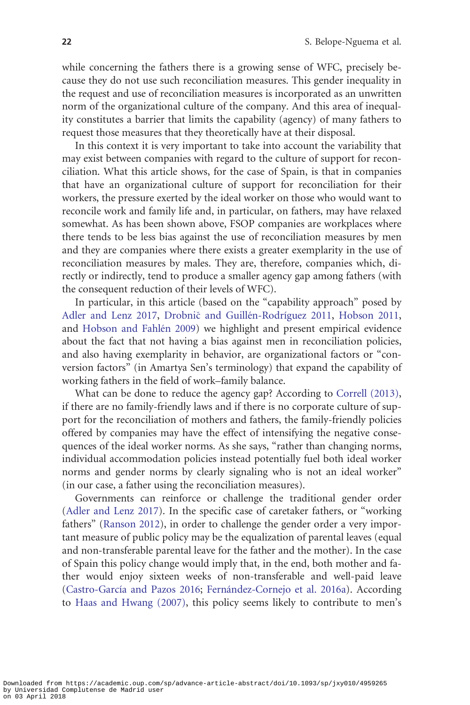while concerning the fathers there is a growing sense of WFC, precisely because they do not use such reconciliation measures. This gender inequality in the request and use of reconciliation measures is incorporated as an unwritten norm of the organizational culture of the company. And this area of inequality constitutes a barrier that limits the capability (agency) of many fathers to request those measures that they theoretically have at their disposal.

In this context it is very important to take into account the variability that may exist between companies with regard to the culture of support for reconciliation. What this article shows, for the case of Spain, is that in companies that have an organizational culture of support for reconciliation for their workers, the pressure exerted by the ideal worker on those who would want to reconcile work and family life and, in particular, on fathers, may have relaxed somewhat. As has been shown above, FSOP companies are workplaces where there tends to be less bias against the use of reconciliation measures by men and they are companies where there exists a greater exemplarity in the use of reconciliation measures by males. They are, therefore, companies which, directly or indirectly, tend to produce a smaller agency gap among fathers (with the consequent reduction of their levels of WFC).

In particular, in this article (based on the "capability approach" posed by [Adler and Lenz 2017](#page-24-0), [Drobni](#page-25-0)č and Guillén-Rodríguez 2011, [Hobson 2011,](#page-26-0) and Hobson and Fahlén 2009) we highlight and present empirical evidence about the fact that not having a bias against men in reconciliation policies, and also having exemplarity in behavior, are organizational factors or "conversion factors" (in Amartya Sen's terminology) that expand the capability of working fathers in the field of work–family balance.

What can be done to reduce the agency gap? According to [Correll \(2013\),](#page-25-0) if there are no family-friendly laws and if there is no corporate culture of support for the reconciliation of mothers and fathers, the family-friendly policies offered by companies may have the effect of intensifying the negative consequences of the ideal worker norms. As she says, "rather than changing norms, individual accommodation policies instead potentially fuel both ideal worker norms and gender norms by clearly signaling who is not an ideal worker" (in our case, a father using the reconciliation measures).

Governments can reinforce or challenge the traditional gender order ([Adler and Lenz 2017\)](#page-24-0). In the specific case of caretaker fathers, or "working fathers" ([Ranson 2012\)](#page-27-0), in order to challenge the gender order a very important measure of public policy may be the equalization of parental leaves (equal and non-transferable parental leave for the father and the mother). In the case of Spain this policy change would imply that, in the end, both mother and father would enjoy sixteen weeks of non-transferable and well-paid leave (Castro-García and Pazos 2016; Fernández-Cornejo et al. 2016a). According to [Haas and Hwang \(2007\),](#page-26-0) this policy seems likely to contribute to men's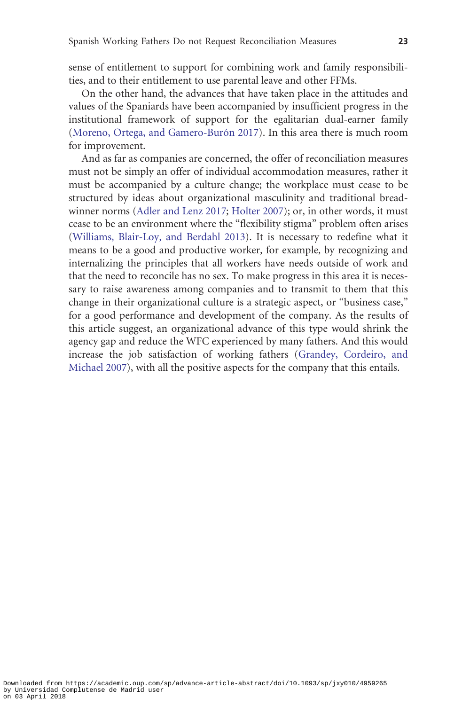sense of entitlement to support for combining work and family responsibilities, and to their entitlement to use parental leave and other FFMs.

On the other hand, the advances that have taken place in the attitudes and values of the Spaniards have been accompanied by insufficient progress in the institutional framework of support for the egalitarian dual-earner family (Moreno, Ortega, and Gamero-Burón 2017). In this area there is much room for improvement.

And as far as companies are concerned, the offer of reconciliation measures must not be simply an offer of individual accommodation measures, rather it must be accompanied by a culture change; the workplace must cease to be structured by ideas about organizational masculinity and traditional breadwinner norms ([Adler and Lenz 2017;](#page-24-0) [Holter 2007\)](#page-26-0); or, in other words, it must cease to be an environment where the "flexibility stigma" problem often arises ([Williams, Blair-Loy, and Berdahl 2013](#page-27-0)). It is necessary to redefine what it means to be a good and productive worker, for example, by recognizing and internalizing the principles that all workers have needs outside of work and that the need to reconcile has no sex. To make progress in this area it is necessary to raise awareness among companies and to transmit to them that this change in their organizational culture is a strategic aspect, or "business case," for a good performance and development of the company. As the results of this article suggest, an organizational advance of this type would shrink the agency gap and reduce the WFC experienced by many fathers. And this would increase the job satisfaction of working fathers [\(Grandey, Cordeiro, and](#page-26-0) [Michael 2007](#page-26-0)), with all the positive aspects for the company that this entails.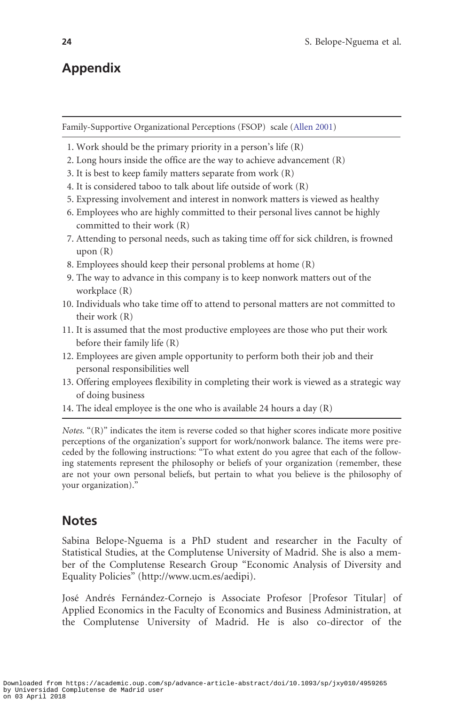## Appendix

Family-Supportive Organizational Perceptions (FSOP) scale ([Allen 2001](#page-24-0))

- 1. Work should be the primary priority in a person's life (R)
- 2. Long hours inside the office are the way to achieve advancement (R)
- 3. It is best to keep family matters separate from work (R)
- 4. It is considered taboo to talk about life outside of work (R)
- 5. Expressing involvement and interest in nonwork matters is viewed as healthy
- 6. Employees who are highly committed to their personal lives cannot be highly committed to their work (R)
- 7. Attending to personal needs, such as taking time off for sick children, is frowned upon (R)
- 8. Employees should keep their personal problems at home (R)
- 9. The way to advance in this company is to keep nonwork matters out of the workplace (R)
- 10. Individuals who take time off to attend to personal matters are not committed to their work (R)
- 11. It is assumed that the most productive employees are those who put their work before their family life (R)
- 12. Employees are given ample opportunity to perform both their job and their personal responsibilities well
- 13. Offering employees flexibility in completing their work is viewed as a strategic way of doing business
- 14. The ideal employee is the one who is available 24 hours a day (R)

*Notes.* " $(R)$ " indicates the item is reverse coded so that higher scores indicate more positive perceptions of the organization's support for work/nonwork balance. The items were preceded by the following instructions: "To what extent do you agree that each of the following statements represent the philosophy or beliefs of your organization (remember, these are not your own personal beliefs, but pertain to what you believe is the philosophy of your organization)."

## **Notes**

Sabina Belope-Nguema is a PhD student and researcher in the Faculty of Statistical Studies, at the Complutense University of Madrid. She is also a member of the Complutense Research Group "Economic Analysis of Diversity and Equality Policies" (http://www.ucm.es/aedipi).

José Andrés Fernández-Cornejo is Associate Profesor [Profesor Titular] of Applied Economics in the Faculty of Economics and Business Administration, at the Complutense University of Madrid. He is also co-director of the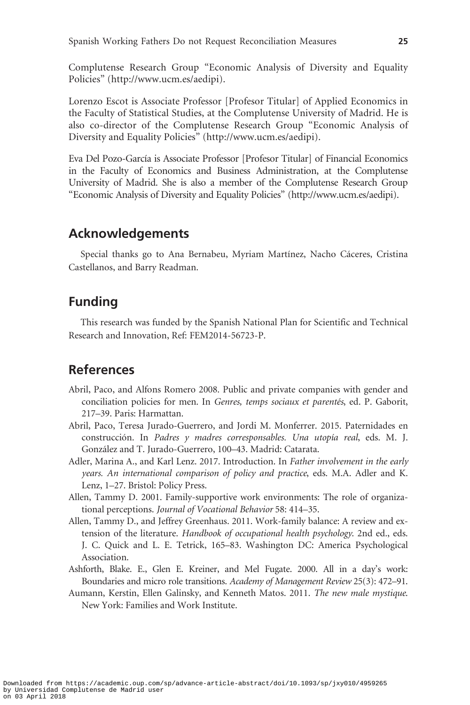<span id="page-24-0"></span>Complutense Research Group "Economic Analysis of Diversity and Equality Policies" (http://www.ucm.es/aedipi).

Lorenzo Escot is Associate Professor [Profesor Titular] of Applied Economics in the Faculty of Statistical Studies, at the Complutense University of Madrid. He is also co-director of the Complutense Research Group "Economic Analysis of Diversity and Equality Policies" (http://www.ucm.es/aedipi).

Eva Del Pozo-García is Associate Professor [Profesor Titular] of Financial Economics in the Faculty of Economics and Business Administration, at the Complutense University of Madrid. She is also a member of the Complutense Research Group "Economic Analysis of Diversity and Equality Policies" (http://www.ucm.es/aedipi).

## Acknowledgements

Special thanks go to Ana Bernabeu, Myriam Martínez, Nacho Cáceres, Cristina Castellanos, and Barry Readman.

## Funding

This research was funded by the Spanish National Plan for Scientific and Technical Research and Innovation, Ref: FEM2014-56723-P.

## References

- Abril, Paco, and Alfons Romero 2008. Public and private companies with gender and conciliation policies for men. In Genres, temps sociaux et parentés, ed. P. Gaborit, 217–39. Paris: Harmattan.
- Abril, Paco, Teresa Jurado-Guerrero, and Jordi M. Monferrer. 2015. Paternidades en construcción. In Padres y madres corresponsables. Una utopía real, eds. M. J. González and T. Jurado-Guerrero, 100–43. Madrid: Catarata.
- Adler, Marina A., and Karl Lenz. 2017. Introduction. In Father involvement in the early years. An international comparison of policy and practice, eds. M.A. Adler and K. Lenz, 1–27. Bristol: Policy Press.
- Allen, Tammy D. 2001. Family-supportive work environments: The role of organizational perceptions. Journal of Vocational Behavior 58: 414–35.
- Allen, Tammy D., and Jeffrey Greenhaus. 2011. Work-family balance: A review and extension of the literature. Handbook of occupational health psychology. 2nd ed., eds. J. C. Quick and L. E. Tetrick, 165–83. Washington DC: America Psychological Association.
- Ashforth, Blake. E., Glen E. Kreiner, and Mel Fugate. 2000. All in a day's work: Boundaries and micro role transitions. Academy of Management Review 25(3): 472–91.
- Aumann, Kerstin, Ellen Galinsky, and Kenneth Matos. 2011. The new male mystique. New York: Families and Work Institute.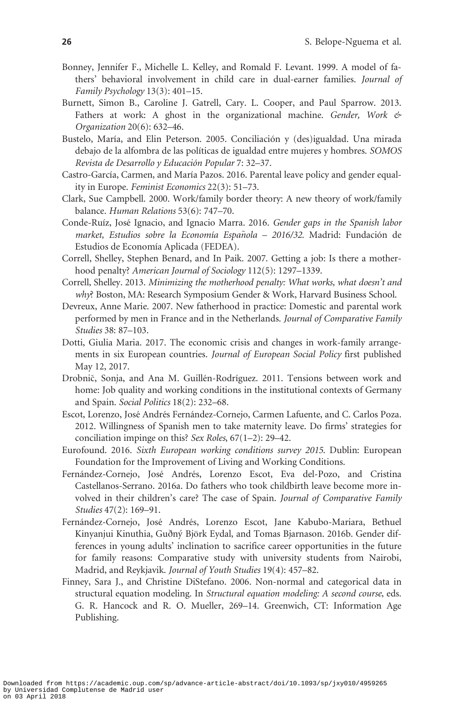- <span id="page-25-0"></span>Bonney, Jennifer F., Michelle L. Kelley, and Romald F. Levant. 1999. A model of fathers' behavioral involvement in child care in dual-earner families. Journal of Family Psychology 13(3): 401–15.
- Burnett, Simon B., Caroline J. Gatrell, Cary. L. Cooper, and Paul Sparrow. 2013. Fathers at work: A ghost in the organizational machine. Gender, Work  $\&$ Organization 20(6): 632–46.
- Bustelo, María, and Elin Peterson. 2005. Conciliación y (des)igualdad. Una mirada debajo de la alfombra de las políticas de igualdad entre mujeres y hombres. SOMOS Revista de Desarrollo y Educación Popular 7: 32–37.
- Castro-García, Carmen, and María Pazos. 2016. Parental leave policy and gender equality in Europe. Feminist Economics 22(3): 51–73.
- Clark, Sue Campbell. 2000. Work/family border theory: A new theory of work/family balance. Human Relations 53(6): 747–70.
- Conde-Ruíz, José Ignacio, and Ignacio Marra. 2016. Gender gaps in the Spanish labor market, Estudios sobre la Economía Española - 2016/32. Madrid: Fundación de Estudios de Economía Aplicada (FEDEA).
- Correll, Shelley, Stephen Benard, and In Paik. 2007. Getting a job: Is there a motherhood penalty? American Journal of Sociology 112(5): 1297–1339.
- Correll, Shelley. 2013. Minimizing the motherhood penalty: What works, what doesn't and why? Boston, MA: Research Symposium Gender & Work, Harvard Business School.
- Devreux, Anne Marie. 2007. New fatherhood in practice: Domestic and parental work performed by men in France and in the Netherlands. Journal of Comparative Family Studies 38: 87–103.
- Dotti, Giulia Maria. 2017. The economic crisis and changes in work-family arrangements in six European countries. Journal of European Social Policy first published May 12, 2017.
- Drobnič, Sonja, and Ana M. Guillén-Rodríguez. 2011. Tensions between work and home: Job quality and working conditions in the institutional contexts of Germany and Spain. Social Politics 18(2): 232–68.
- Escot, Lorenzo, José Andrés Fernández-Cornejo, Carmen Lafuente, and C. Carlos Poza. 2012. Willingness of Spanish men to take maternity leave. Do firms' strategies for conciliation impinge on this? Sex Roles, 67(1–2): 29–42.
- Eurofound. 2016. Sixth European working conditions survey 2015. Dublin: European Foundation for the Improvement of Living and Working Conditions.
- Fernández-Cornejo, José Andrés, Lorenzo Escot, Eva del-Pozo, and Cristina Castellanos-Serrano. 2016a. Do fathers who took childbirth leave become more involved in their children's care? The case of Spain. Journal of Comparative Family Studies 47(2): 169–91.
- Fernández-Cornejo, José Andrés, Lorenzo Escot, Jane Kabubo-Mariara, Bethuel Kinyanjui Kinuthia, Guðný Björk Eydal, and Tomas Bjarnason. 2016b. Gender differences in young adults' inclination to sacrifice career opportunities in the future for family reasons: Comparative study with university students from Nairobi, Madrid, and Reykjavik. Journal of Youth Studies 19(4): 457–82.
- Finney, Sara J., and Christine DiStefano. 2006. Non-normal and categorical data in structural equation modeling. In Structural equation modeling: A second course, eds. G. R. Hancock and R. O. Mueller, 269–14. Greenwich, CT: Information Age Publishing.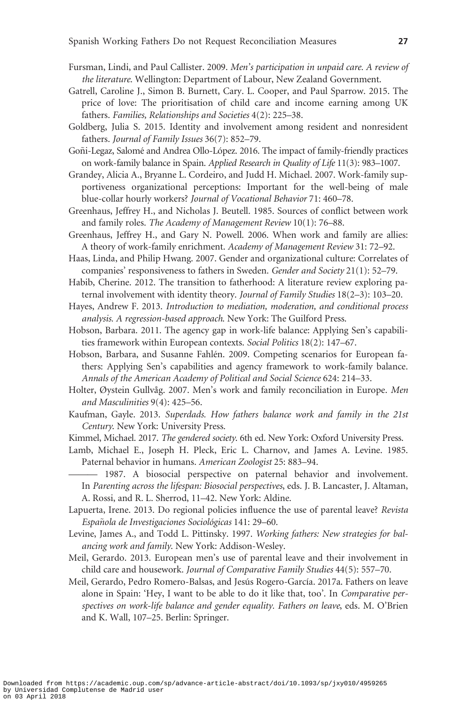- <span id="page-26-0"></span>Fursman, Lindi, and Paul Callister. 2009. Men's participation in unpaid care. A review of the literature. Wellington: Department of Labour, New Zealand Government.
- Gatrell, Caroline J., Simon B. Burnett, Cary. L. Cooper, and Paul Sparrow. 2015. The price of love: The prioritisation of child care and income earning among UK fathers. Families, Relationships and Societies 4(2): 225–38.
- Goldberg, Julia S. 2015. Identity and involvement among resident and nonresident fathers. Journal of Family Issues 36(7): 852–79.
- Goñi-Legaz, Salomé and Andrea Ollo-López. 2016. The impact of family-friendly practices on work-family balance in Spain. Applied Research in Quality of Life 11(3): 983–1007.
- Grandey, Alicia A., Bryanne L. Cordeiro, and Judd H. Michael. 2007. Work-family supportiveness organizational perceptions: Important for the well-being of male blue-collar hourly workers? Journal of Vocational Behavior 71: 460–78.
- Greenhaus, Jeffrey H., and Nicholas J. Beutell. 1985. Sources of conflict between work and family roles. The Academy of Management Review 10(1): 76–88.
- Greenhaus, Jeffrey H., and Gary N. Powell. 2006. When work and family are allies: A theory of work-family enrichment. Academy of Management Review 31: 72–92.
- Haas, Linda, and Philip Hwang. 2007. Gender and organizational culture: Correlates of companies' responsiveness to fathers in Sweden. Gender and Society 21(1): 52–79.
- Habib, Cherine. 2012. The transition to fatherhood: A literature review exploring paternal involvement with identity theory. Journal of Family Studies 18(2-3): 103-20.
- Hayes, Andrew F. 2013. Introduction to mediation, moderation, and conditional process analysis. A regression-based approach. New York: The Guilford Press.
- Hobson, Barbara. 2011. The agency gap in work-life balance: Applying Sen's capabilities framework within European contexts. Social Politics 18(2): 147–67.
- Hobson, Barbara, and Susanne Fahlén. 2009. Competing scenarios for European fathers: Applying Sen's capabilities and agency framework to work-family balance. Annals of the American Academy of Political and Social Science 624: 214–33.
- Holter, Øystein Gullvåg. 2007. Men's work and family reconciliation in Europe. Men and Masculinities 9(4): 425–56.
- Kaufman, Gayle. 2013. Superdads. How fathers balance work and family in the 21st Century. New York: University Press.
- Kimmel, Michael. 2017. The gendered society. 6th ed. New York: Oxford University Press.
- Lamb, Michael E., Joseph H. Pleck, Eric L. Charnov, and James A. Levine. 1985. Paternal behavior in humans. American Zoologist 25: 883–94.
	- 1987. A biosocial perspective on paternal behavior and involvement. In Parenting across the lifespan: Biosocial perspectives, eds. J. B. Lancaster, J. Altaman, A. Rossi, and R. L. Sherrod, 11–42. New York: Aldine.
- Lapuerta, Irene. 2013. Do regional policies influence the use of parental leave? Revista Española de Investigaciones Sociológicas 141: 29–60.
- Levine, James A., and Todd L. Pittinsky. 1997. Working fathers: New strategies for balancing work and family. New York: Addison-Wesley.
- Meil, Gerardo. 2013. European men's use of parental leave and their involvement in child care and housework. Journal of Comparative Family Studies 44(5): 557–70.
- Meil, Gerardo, Pedro Romero-Balsas, and Jesús Rogero-García. 2017a. Fathers on leave alone in Spain: 'Hey, I want to be able to do it like that, too'. In Comparative perspectives on work-life balance and gender equality. Fathers on leave, eds. M. O'Brien and K. Wall, 107–25. Berlin: Springer.